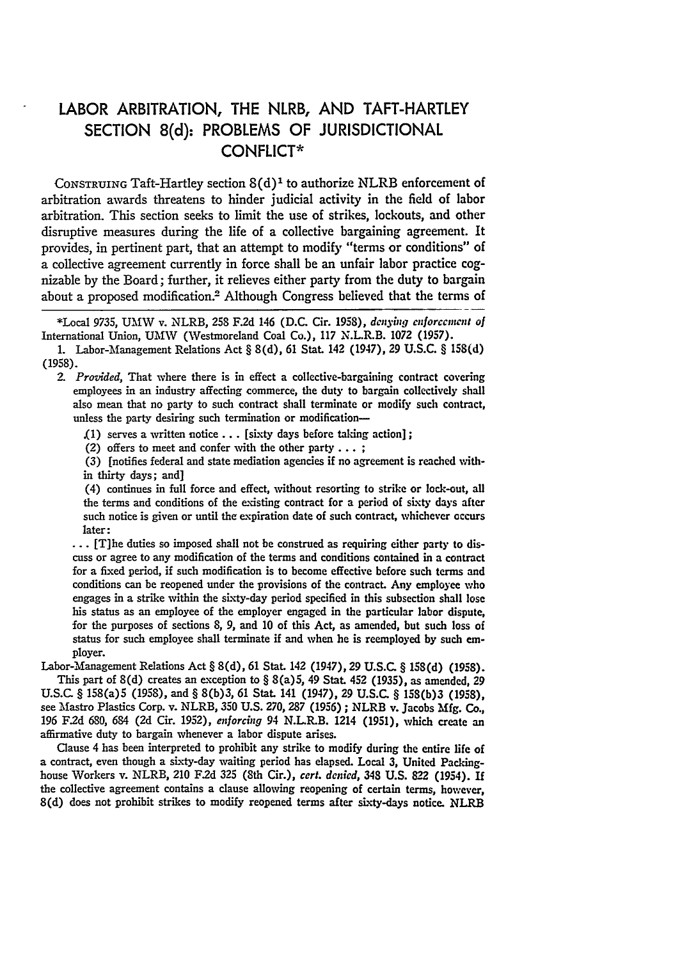## LABOR ARBITRATION, THE NLRB, **AND** TAFT-HARTLEY **SECTION 8(d):** PROBLEMS OF **JURISDICTIONAL CONFLICT\***

CONSTRUING Taft-Hartley section  $S(d)^1$  to authorize NLRB enforcement of arbitration awards threatens to hinder judicial activity in the field of labor arbitration. This section seeks to limit the use of strikes, lockouts, and other disruptive measures during the life of a collective bargaining agreement. It provides, in pertinent part, that an attempt to modify "terms or conditions" of a collective agreement currently in force shall be an unfair labor practice cognizable by the Board; further, it relieves either party from the duty to bargain about a proposed modification.2 Although Congress believed that the terms of

**\*Local** 9735, **UM61W** v. NLRB, **258 F.2d** 146 **(D.C.** Cir. 1958), *donying cnforccincnt of* International Union, **UMW** (Westmoreland Coal Co.), **117** N.L.R.B. **1072 (1957).**

*2. Provided,* That where there is in effect a collective-bargaining contract covering employees in an industry affecting commerce, the duty to bargain collectively shall also mean that no party to such contract shall terminate or modify such contract, unless the party desiring such termination or modification---

.(1) serves a written notice... [sixty days before taking action];

(2) offers to meet and confer with the other party... **;**

**(3)** [notifies federal and state mediation agencies if no agreement is reached within thirty days; and]

(4) continues in full force and effect, without resorting to strike or lock-out, all the terms and conditions of the existing contract for a period of sixty days after such notice is given or until the expiration date of such contract, whichever occurs later:

**...** [T]he duties so imposed shall not be construed as requiring either party to discuss or agree to any modification of the terms and conditions contained in a contract for a fixed period, if such modification is to become effective before such terms and conditions can be reopened under the provisions of the contract. Any employee who engages in a strike within the sixty-day period specified in this subsection shall lose his status as an employee of the employer engaged in the particular labor dispute, for the purposes of sections **8, 9,** and **10** of this Act, as amended, but such loss **of** status for such employee shall terminate **if** and when he is reemployed **by** such **em**ployer.

Labor-Management Relations Act § **8(d),** 61 Stat. 142 (1947), **29 U.S.C.** § **158(d) (1958).** This part of 8(d) creates an exception to § 8(a)5, 49 Stat. 452 **(1935),** as amended, 29 **U.S.C.** § 158(a)5 **(1958),** and § **8(b)3,** 61 Stat. 141 (1947), **29 U.S.C.** § 15S(b)3 **(1958),** see Mastro Plastics Corp. v. NLRB, **350 U.S. 270, 287 (1956) ;** NLRB v. Jacobs **Mfg. Co., 196 F.2d 680,** 684 **(2d** Cir. **1952),** *enforcing* 94 N.L.R.B. 1214 **(1951),** which create an affirmative duty to bargain whenever a labor dispute arises.

Clause 4 has been interpreted to prohibit any strike to modify during the entire life of a contract, even though a sixty-day waiting period has elapsed. Local **3,** United Packinghouse Workers v. NLRB, 210 **F.2d 325** (8th Cir.), *cert. denied,* 348 **U.S.** 822 (1954). **If** the collective agreement contains a clause allowing reopening of certain terms, however, 8(d) does not prohibit strikes to modify reopened terms after sixty-days notice. NLRB

**<sup>1.</sup>** Labor-Management Relations Act § **8(d),** 61 Stat. 142 (1947), **29 U.S.C.** § **158(d)** (1958).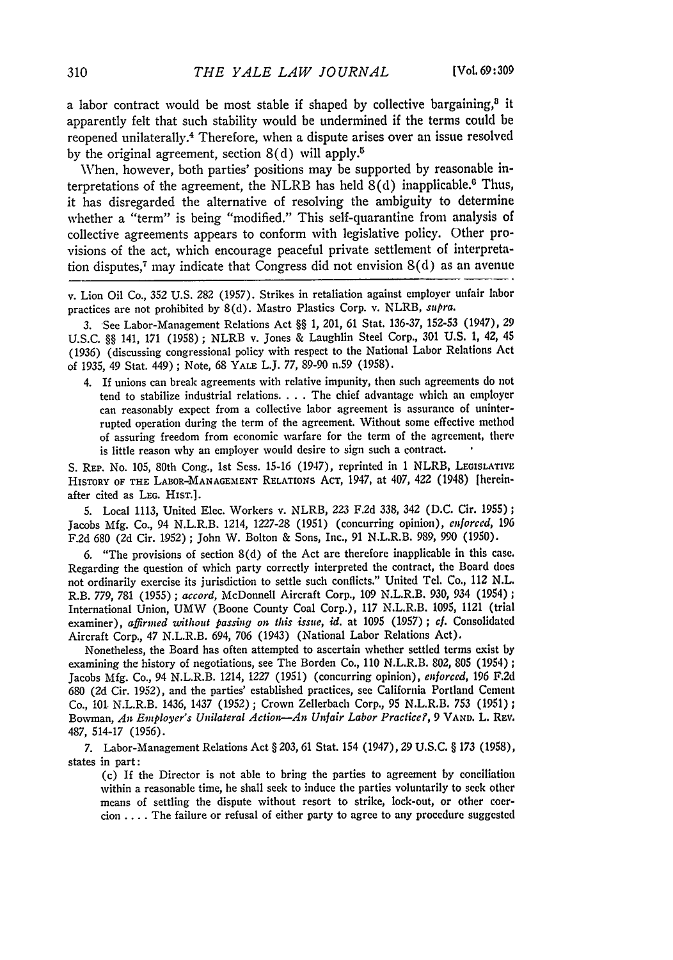a labor contract would be most stable if shaped by collective bargaining, $3$  it apparently felt that such stability would be undermined if the terms could be reopened unilaterally.<sup>4</sup> Therefore, when a dispute arises over an issue resolved by the original agreement, section  $8(d)$  will apply.<sup>5</sup>

When, however, both parties' positions may be supported by reasonable interpretations of the agreement, the NLRB has held  $8(d)$  inapplicable.<sup>6</sup> Thus, it has disregarded the alternative of resolving the ambiguity to determine whether a "term" is being "modified." This self-quarantine from analysis of collective agreements appears to conform with legislative policy. Other provisions of the act, which encourage peaceful private settlement of interpretation disputes,<sup>7</sup> may indicate that Congress did not envision  $8(d)$  as an avenue

v. Lion Oil Co., 352 U.S. 282 (1957). Strikes in retaliation against employer unfair labor practices are not prohibited by 8(d). Mastro Plastics Corp. v. NLRB, *supra.*

*3.* See Labor-Management Relations Act §§ 1, 201, 61 Stat. 136-37, 152-53 (1947), 29 U.S.C. §§ 141, **171** (1958) ; NLRB v. Jones & Laughlin Steel Corp., **301** U.S. **1,** 42, 45 (1936) (discussing congressional policy with respect to the National Labor Relations Act of 1935, 49 Stat. 449) ; Note, 68 **YALE** L.J. 77, 89-90 n.59 (1958).

4. If unions can break agreements with relative impunity, then such agreements do not tend to stabilize industrial relations **....** The chief advantage which an employer can reasonably expect from a collective labor agreement is assurance of uninterrupted operation during the term of the agreement. Without some effective method of assuring freedom from economic warfare for the term of the agreement, there is little reason why an employer would desire to sign such a contract.

S. REP. No. 105, 80th Cong., 1st Sess. 15-16 (1947), reprinted in 1 NLRB, **LEOISLATIVE** HISTORY OF **THE LABOR-MANAGEMENT** RELATIONS AcT, 1947, at 407, 422 (1948) [hereinafter cited as **LEG.** HIsT.].

5. Local 1113, United Elec. Workers v. NLRB, 223 F.2d 338, 342 (D.C. Cir. 1955); Jacobs Mfg. Co., 94 N.L.R.B. 1214, 1227-28 (1951) (concurring opinion), *enforced,* 196 F.2d 680 (2d Cir. 1952); John W. Bolton & Sons, Inc., 91 N.L.R.B. 989, 990 (1950).

6. "The provisions of section 8(d) of the Act are therefore inapplicable in this case. Regarding the question of which party correctly interpreted the contract, the Board does not ordinarily exercise its jurisdiction to settle such conflicts." United Tel. Co., 112 N.L. R.B. 779, 781 (1955) *; accord,* McDonnell Aircraft Corp., 109 N.L.R.B. **930,** 934 (1954) **;** International Union, UMW (Boone County Coal Corp.), 117 N.L.R.B. 1095, 1121 (trial examiner), *affirmed without passing on this issue, id.* at 1095 (1957) ; *cf.* Consolidated Aircraft Corp., 47 N.L.R.B. 694, 706 (1943) (National Labor Relations Act).

Nonetheless, the Board has often attempted to ascertain whether settled terms exist by examining the history of negotiations, see The Borden Co., 110 N.L.R.B. 802, 805 (1954) *;* Jacobs Mfg. Co., 94 N.L.R.B. 1214, 1227 (1951) (concurring opinion), *enforced,* 196 **F.2d** 680 (2d Cir. 1952), and the parties' established practices, see California Portland Cement Co., 101. N.L.R.B. 1436, 1437 (1952) ; Crown Zellerbach Corp., 95 N.L.R.B. 753 (1951) **;** Bowman, *An Employer's Unilateral Action-An Unfair Labor Practice?,* <sup>9</sup>**VAND.** L. REv. 487, 514-17 (1956).

*7.* Labor-Management Relations Act § 203,61 Stat. 154 (1947), 29 U.S.C. § 173 (1958), states in part:

(c) If the Director is not able to bring the parties to agreement by conciliation within a reasonable time, he shall seek to induce the parties voluntarily to seek other means of settling the dispute without resort to strike, lock-out, or other coercion .... The failure or refusal of either party to agree to any procedure suggested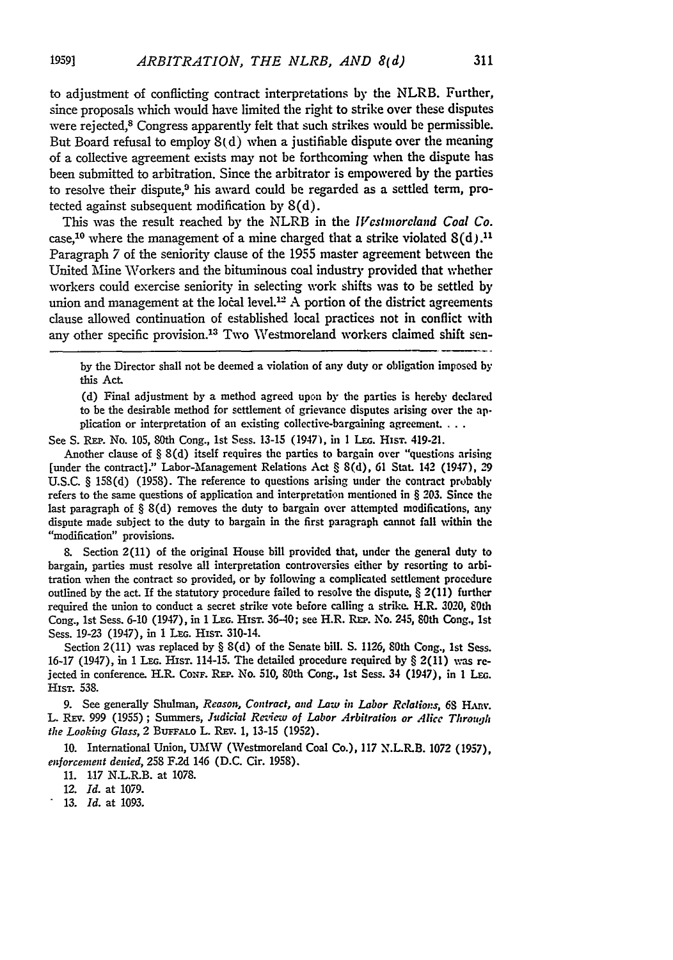to adjustment of conflicting contract interpretations **by** the NLRB. Further, since proposals which would have limited the right to strike over these disputes were rejected,<sup>8</sup> Congress apparently felt that such strikes would be permissible. But Board refusal to employ  $8(d)$  when a justifiable dispute over the meaning of a collective agreement exists may not be forthcoming when the dispute has been submitted to arbitration. Since the arbitrator is empowered by the parties to resolve their dispute,<sup>9</sup> his award could be regarded as a settled term, protected against subsequent modification by 8(d).

This was the result reached by the NLRB in the *Wcstnorcland Coal Co.* case.<sup>10</sup> where the management of a mine charged that a strike violated  $8(d)$ .<sup>11</sup> Paragraph 7 of the seniority clause of the 1955 master agreement between the United Mine Workers and the bituminous coal industry provided that whether workers could exercise seniority in selecting work shifts was to be settled by union and management at the local level.<sup>12</sup> A portion of the district agreements clause allowed continuation of established local practices not in conflict with any other specific provision.<sup>13</sup> Two Westmoreland workers claimed shift sen-

by the Director shall not be deemed a violation of any duty or obligation imposed **by** this Act.

**(d)** Final adjustment **by** a method agreed upon **by** the parties is hereby declared to be the desirable method for settlement of grievance disputes arising over the application or interpretation of an existing collective-bargaining agreement. . . .

See S. **RES,.** No. **105,** 80th Cong., **1st** Sess. **13-15** (1947), in I **LEG.** Hisr. 419-21.

Another clause of § 8(d) itself requires the parties to bargain over "questions arising [under the contract]." Labor-Management Relations Act § 8(d), **61** Stat. 142 (1947), **29** U.S.C. § 158(d) (1958). The reference to questions arising under the contract probably refers to the same questions of application and interpretation mentioned in § **203.** Since the last paragraph of § 8(d) removes the duty to bargain over attempted modifications, any dispute made subject to the duty to bargain in the first paragraph cannot fall within the "modification" provisions.

**8.** Section 2(11) of the original House bill provided that, under the general duty to bargain, parties must resolve all interpretation controversies either **by** resorting to arbitration when the contract so provided, or **by** following a complicated settlement procedure outlined by the act. If the statutory procedure failed to resolve the dispute,  $\S 2(11)$  further required the union to conduct a secret strike vote before calling a strike. H.R. 3020, 80th Cong., 1st Sess. 6-10 (1947), in 1 LEG. HIST. 36-40; see H.R. REP. No. 245, 80th Cong., 1st Sess. 19-23 (1947), in 1 Lec. HIST. 310-14.

Section 2(11) was replaced by § 8(d) of the Senate bill. **S.** 1126, 80th Cong., **1st** Sess. **16-17** (1947), in **1 LEG.** MsT. 114-15. The detailed procedure required **by** § 2(11) was rejected in conference. H.R. Conf. REP. No. 510, 80th Cong., 1st Sess. 34 (1947), in 1 Leg. Hisr. **538.**

**9.** See generally Shulman, *Reason, Contract, and Law in Labor Relations, 68 HInv.* L. Rxv. 999 (1955) **;** Summers, *Judicial Re-ziew of Labor Arbitration or Alice Through the Looking Glass, 2 BUFFALO L. REV. 1, 13-15 (1952).* 

10. International Union, **UMW** (Westmoreland Coal Co.), 117 N.L.R.B. 1072 (1957), *enforcement denied,* 258 F.2d 146 (D.C. Cir. 1958).

11. 1.17 N.L.R.B. at 1078.

*12. Id.* at 1079.

**13.** *Id.* at 1093.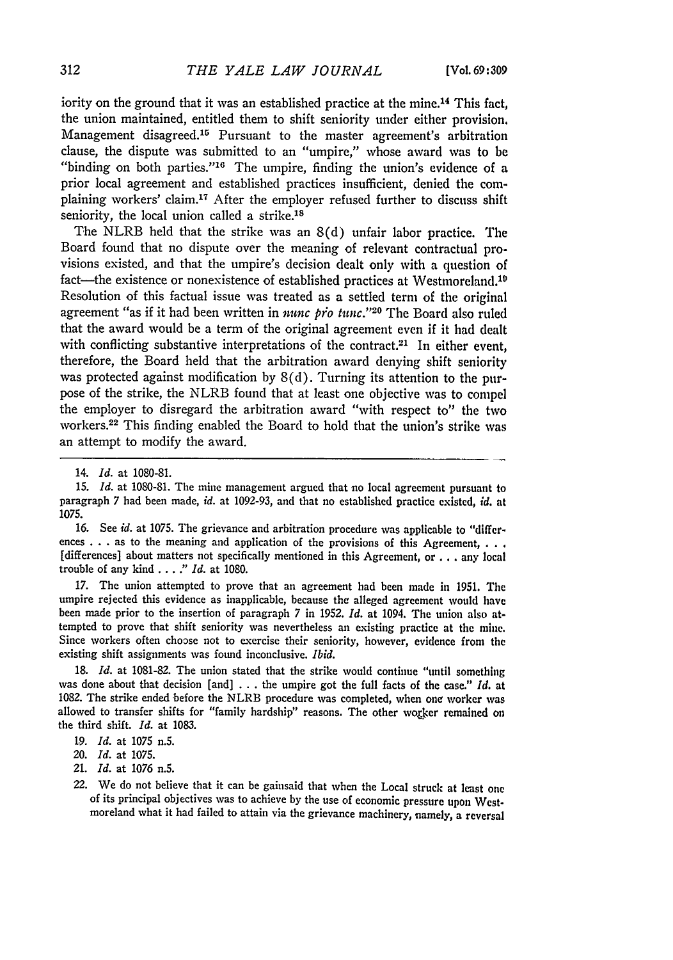iority on the ground that it was an established practice at the mine.<sup>14</sup> This fact, the union maintained, entitled them to shift seniority under either provision. Management disagreed.<sup>15</sup> Pursuant to the master agreement's arbitration clause, the dispute was submitted to an "umpire," whose award was to be "binding on both parties."<sup>16</sup> The umpire, finding the union's evidence of a prior local agreement and established practices insufficient, denied the complaining workers' claim.<sup>17</sup> After the employer refused further to discuss shift seniority, the local union called a strike.<sup>18</sup>

The NLRB held that the strike was an 8(d) unfair labor practice. The Board found that no dispute over the meaning of relevant contractual provisions existed, and that the umpire's decision dealt only with a question of fact—the existence or nonexistence of established practices at Westmoreland.<sup>10</sup> Resolution of this factual issue was treated as a settled term **of** the original agreement "as if it had been written in *nunc pro tunc.*"<sup>20</sup> The Board also ruled that the award would be a term of the original agreement even if it had dealt with conflicting substantive interpretations of the contract.<sup>21</sup> In either event, therefore, the Board held that the arbitration award denying shift seniority was protected against modification by 8(d). Turning its attention to the purpose of the strike, the NLRB found that at least one objective was to compel the employer to disregard the arbitration award "with respect to" the two vorkers. 22 This finding enabled the Board to hold that the union's strike was an attempt to modify the award.

16. See *id.* at 1075. The grievance and arbitration procedure was applicable to "differ ences . . . as to the meaning and application of the provisions of this Agreement, **. . .** [differences] about matters not specifically mentioned in this Agreement, or ... any local trouble of any kind **....** *" Id.* at 1080.

17. The union attempted to prove that an agreement had been made in 1951. The umpire rejected this evidence as inapplicable, because the alleged agreement would have been made prior to the insertion of paragraph 7 in 1952. *Id.* at 1094. The union also attempted to prove that shift seniority was nevertheless an existing practice at the mine. Since workers often choose not to exercise their seniority, however, evidence from the existing shift assignments was found inconclusive. *Ibid.*

**18.** *Id.* at 1081-82. The union stated that the strike would continue "until something was done about that decision [and] **. . .** the umpire got the full facts of the case." *Id.* at **1082.** The strike ended before the NLRB procedure was completed, when one worker was allowed to transfer shifts for "family hardship" reasons. The other worker remained on the third shift. *Id.* at **1083.**

*21. Id.* at 1076 n.5.

<sup>14.</sup> *Id.* at 1080-81.

<sup>15.</sup> *Id.* at 1080-81. The mine management argued that no local agreement pursuant to paragraph 7 had been made, *id.* at 1092-93, and that no established practice existed, *id.* at 1075.

**<sup>19.</sup>** *Id.* at **1075** n.5.

<sup>20.</sup> *Id.* at **1075.**

<sup>22.</sup> We do not believe that it can be gainsaid that when the Local struck at least one of its principal objectives was to achieve by the use of economic pressure upon Westmoreland what it had failed to attain via the grievance machinery, namely, a reversal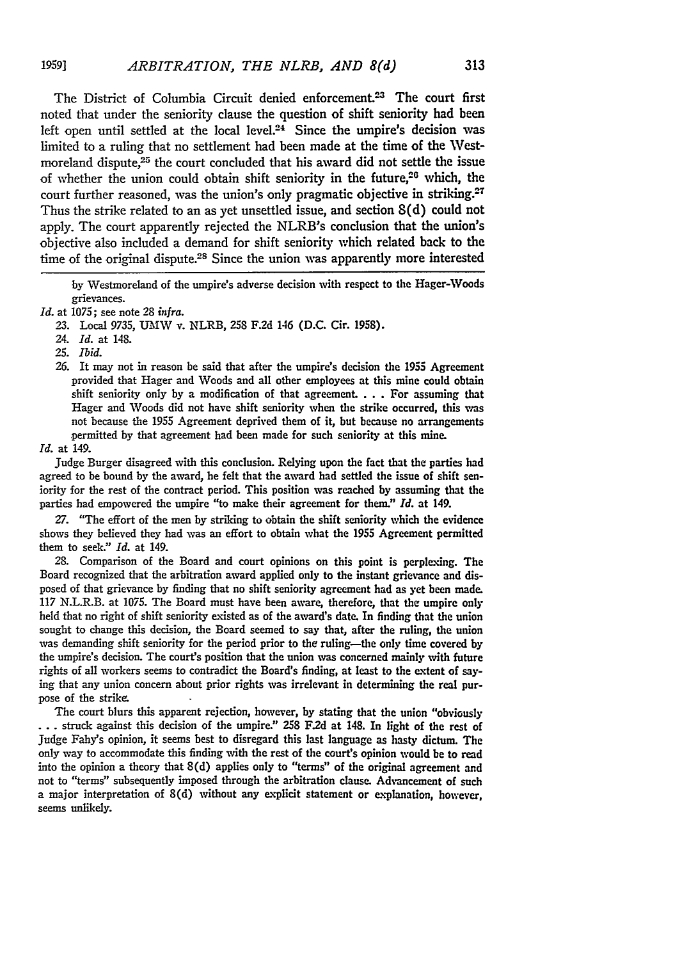The District of Columbia Circuit denied enforcement.<sup>23</sup> The court first noted that under the seniority clause the question of shift seniority had been left open until settled at the local level.<sup>24</sup> Since the umpire's decision was limited to a ruling that no settlement had been made at the time of the Westmoreland dispute,<sup>25</sup> the court concluded that his award did not settle the issue of whether the union could obtain shift seniority in the future, $26$  which, the court further reasoned, was the union's only pragmatic objective in striking. $27$ Thus the strike related to an as yet unsettled issue, and section 8(d) could not apply. The court apparently rejected the NLRB's conclusion that the union's objective also included a demand for shift seniority which related back to the time of the original dispute.<sup>28</sup> Since the union was apparently more interested

**by** Westmoreland of the umpire's adverse decision with respect to the Hager-Woods grievances.

**23.** Local 9735, **U21W** v. NLRB, **258 F.2d** 146 (D.C. Cir. 1958).

24. *Id.* at 148.

*25. Ibid.*

**1959]**

**26.** It may not in reason be said that after the umpire's decision the 1955 Agreement provided that Hager and Woods and all other employees at this mine could obtain shift seniority only **by** a modification of that agreement. .**.** . For assuming that Hager and Woods did not have shift seniority when the strike occurred, this was not because the 1955 Agreement deprived them of it, but because no arrangements permitted **by** that agreement had been made for such seniority at this mine.

*Id.* at 149.

Judge Burger disagreed with this conclusion. Relying upon the fact that the parties had agreed to be bound by the award, he felt that the award had settled the issue of shift seniority for the rest of the contract period. This position was reached **by** assuming that the parties had empowered the umpire "to make their agreement for them." *Id.* at 149.

**27.** "The effort of the men **by** striking to obtain the shift seniority which the evidence shows they believed they had was an effort to obtain what the **1955** Agreement permitted them to seek." *Id.* at 149.

**28.** Comparison of the Board and court opinions on this point is perplexing. The Board recognized that the arbitration award applied only to the instant grievance and disposed of that grievance **by** finding that no shift seniority agreement had as yet been made. 117 N.L.R.B. at 1075. The Board must have been aware, therefore, that the umpire only held that no right of shift seniority existed as of the award's date. In finding that the union sought to change this decision, the Board seemed to say that, after the ruling, the union was demanding shift seniority for the period prior to the ruling-the only time covered **by** the umpire's decision. The court's position that the union was concerned mainly with future rights of all workers seems to contradict the Board's finding, at least to the extent of say**ing** that any union concern about prior rights was irrelevant in determining the real purpose of the strike.

The court blurs this apparent rejection, however, by stating that the union "obviously **...** struck against this decision of the umpire." **258** F.2d at 148. In light of the rest of Judge Fahy's opinion, it seems best to disregard this last language as hasty dictum. The only way to accommodate this finding with the rest of the court's opinion would be to read into the opinion a theory that 8(d) applies only to "terms" of the original agreement and not to "terms" subsequently imposed through the arbitration clause. Advancement of such a major interpretation of 8(d) without any explicit statement or explanation, however, seems unlikely.

313

*Id.* at 1075; see note **28** *infra.*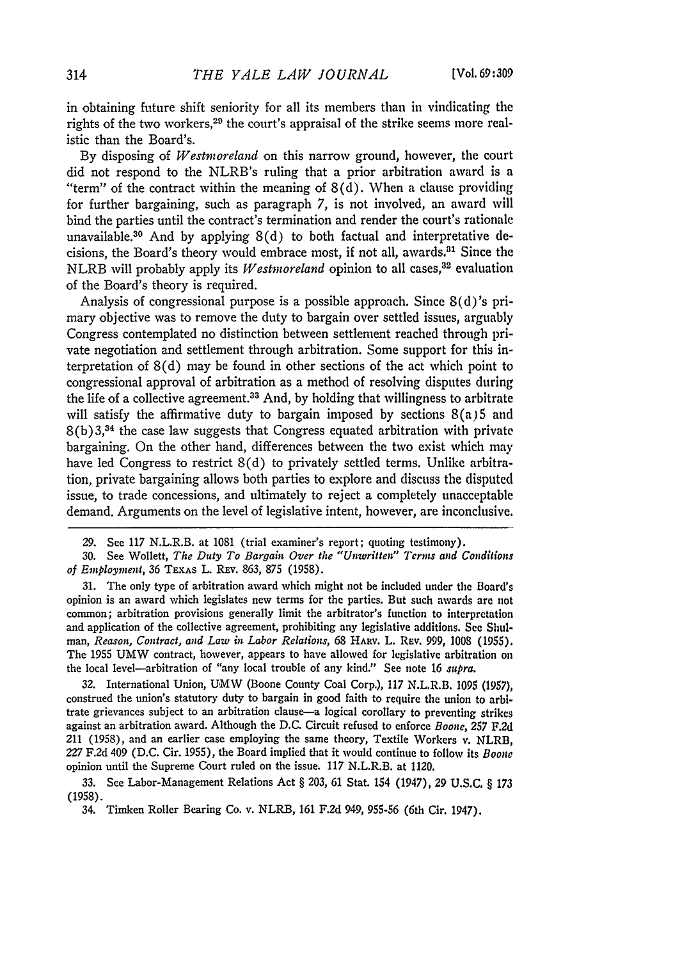in obtaining future shift seniority for all its members than in vindicating the rights of the two workers,<sup>29</sup> the court's appraisal of the strike seems more realistic than the Board's.

By disposing of *Westmoreland* on this narrow ground, however, the court did not respond to the NLRB's ruling that a prior arbitration award is a "term" of the contract within the meaning of  $8(d)$ . When a clause providing for further bargaining, such as paragraph 7, is not involved, an award will bind the parties until the contract's termination and render the court's rationale unavailable.<sup>30</sup> And by applying  $8(d)$  to both factual and interpretative decisions, the Board's theory would embrace most, if not all, awards.<sup>31</sup> Since the NLRB will probably apply its *Westmoreland* opinion to all cases,<sup>32</sup> evaluation of the Board's theory is required.

Analysis of congressional purpose is a possible approach. Since 8(d)'s primary objective was to remove the duty to bargain over settled issues, arguably Congress contemplated no distinction between settlement reached through private negotiation and settlement through arbitration. Some support for this interpretation of 8(d) may be found in other sections of the act which point to congressional approval of arbitration as a method of resolving disputes during the life of a collective agreement.3 3 And, **by** holding that willingness to arbitrate will satisfy the affirmative duty to bargain imposed **by** sections 8(a)5 and 8(b)3,34 the case law suggests that Congress equated arbitration with private bargaining. On the other hand, differences between the two exist which may have led Congress to restrict 8(d) to privately settled terms. Unlike arbitration, private bargaining allows both parties to explore and discuss the disputed issue, to trade concessions, and ultimately to reject a completely unacceptable demand. Arguments on the level of legislative intent, however, are inconclusive.

31. The only type of arbitration award which might not be included under the Board's opinion is an award which legislates new terms for the parties. But such awards are not common; arbitration provisions generally limit the arbitrator's function to interpretation and application of the collective agreement, prohibiting any legislative additions. See Shul*man, Reason, Contract, and Law in Labor Relations,* 68 **HARv.** L. REv. 999, 1008 (1955). The 1955 UMW contract, however, appears to have allowed for legislative arbitration on the local level-arbitration of "any local trouble of any kind." See note 16 *supra.*

32. International Union, UMW (Boone County Coal Corp.), 117 N.L.R.B. 1095 (1957), construed the union's statutory duty to bargain in good faith to require the union to arbitrate grievances subject to an arbitration clause-a logical corollary to preventing strikes against an arbitration award. Although the D.C. Circuit refused to enforce *Boone,* **257 F.2d** 211 (1958), and an earlier case employing the same theory, Textile Workers v. NLRB, *227* F.2d 409 (D.C. Cir. 1955), the Board implied that it would continue to follow its *Boone* opinion until the Supreme Court ruled on the issue. 117 N.L.R.B. at 1120.

**33.** See Labor-Management Relations Act § **203,** 61 Stat. **154** (1947), **29** U.S.C. § *173* (1958).

34. Timken Roller Bearing Co. v. NLRB, 161 F.2d 949, 955-56 (6th Cir. 1947).

**<sup>29.</sup>** See 117 N.L.R.B. at 1081 (trial examiner's report; quoting testimony).

**<sup>30.</sup>** See Wollett, *The Duty To Bargain Over the "Unwritten'* Terms *and Conditions of Employment,* **36** TEXAS L. REv. **863,** 875 **(1958).**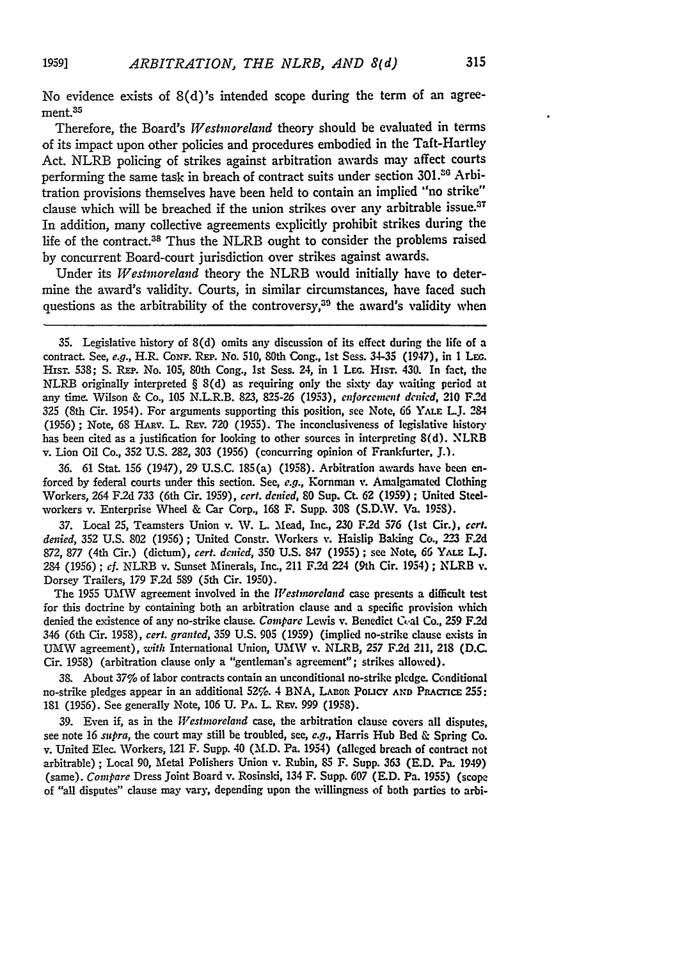No evidence exists of 8(d)'s intended scope during the term of an agreement.35

Therefore, the Board's *Westmoreland* theory should be evaluated in terms of its impact upon other policies and procedures embodied in the Taft-Hartley Act. NLRB policing of strikes against arbitration awards may affect courts performing the same task in breach of contract suits under section 301.<sup>36</sup> Arbitration provisions themselves have been held to contain an implied "no strike" clause which will be breached if the union strikes over any arbitrable issue.<sup>37</sup> In addition, many collective agreements explicitly prohibit strikes during the life of the contract.38 Thus the NLRB ought to consider the problems raised by concurrent Board-court jurisdiction over strikes against awards.

Under its *Westmoreland* theory the NLRB would initially have to determine the award's validity. Courts, in similar circumstances, have faced such questions as the arbitrability of the controversy,<sup>39</sup> the award's validity when

**36.** 61 Stat. 156 (1947), **29 U.S.C.** 185(a) **(1958).** Arbitration awards have been enforced **by** federal courts under this section. See, **e.g.,** Kornman **v.** Amalgamated Clothing Workers, 264 **F.2d 733** (6th Cir. 1959), *cert. denied,* **80** Sup. Ct. **62 (1959) ;** United Steelworkers v. Enterprise Wheel & Car Corp., **168** F. Supp. **308 (S.D.W.** Va. **1958).**

**37.** Local **25,** Teamsters Union v. AV. L. Mead, Inc., **230 F.2d 576** (Ist Cir.), *cert. denied,* **352 U.S. 802** (1956) **;** United Constr. Workers v. Haislip Baking Co., **223** F2d **872, 877** (4th Cir.) (dictum), *cert. denied,* **350 U.S. 847 (1955) ;** see Note, *66* Yx.E *LJ.* 284 (1956); *cf.* NLRB v. Sunset Minerals, Inc., 211 F.2d 224 (9th Cir. 1954); NLRB v. Dorsey Trailers, **179 F.2d 589** (5th Cir. **1950).**

The 1955 UMW agreement involved in the *Westmoreland* case presents a difficult test for this doctrine **by** containing both an arbitration clause and a specific provision which denied the existence of any no-strike clause. *Compare* Lewis v. Benedict Coal Co., **259 F2d** 346 (6th Cir. 1958), *cert. granted,* **359 U.S. 905** (1959) (implied no-strike clause exists in UMW agreement), *with* International Union, UMW v. NLRB, *257* F.2d 211, **218 (D.C.** Cir. 1958) (arbitration clause only a "gentleman's agreement"; strikes allowed).

**38.** About 37% of labor contracts contain an unconditional no-strike pledge. Conditional no-strike pledges appear in an additional 52%. 4 BNA, LAnon PoLIcY **AND** PRAcricE **255: 181** (1956). See generally Note, **106 U.** PA. L. REy. 999 **(1958).**

**39.** Even if, as in the *Westnwreland* case, the arbitration clause covers all disputes, see note 16 *supra,* the court may still be troubled, see, *e.g.,* Harris Hub Bed & Spring Co. v. United Elec. Workers, 121 F. Supp. 40 **(M.D.** Pa. 1954) (alleged breach of contract not arbitrable) **;** Local **90,** Metal Polishers Union v. Rubin, 85 F. Supp. **363 (E.D.** Pa. 1949) (same). *Compare* Dress Joint Board v. Rosinsi, 134 F. Supp. **607** (E.D. Pa. **1955)** (scope of "all disputes" clause may vary, depending upon the willingness of both parties to arbi-

*1959]*

**<sup>35.</sup>** Legislative history of **8(d)** omits any discussion of its effect during the life of a contract. See, e.g., H.R. Con<del>r.</del> REP. No. 510, 80th Cong., 1st Sess. 34-35 (1947), in 1 LEG. HIsT. **538; S.** REP. No. **105,** 80th Cong., **1st** Sess. 24, in **1 Lr.** Hisr. 430. In fact, the NLRB originally interpreted § 8(d) as requiring only the sixty day waiting period at any time. Wilson & Co., **105** N.L.R.B. **823, 825-26 (1953),** *enforcement denied,* 210 **F.2d 325** (8th Cir. 1954). For arguments supporting this position, see Note, 66 **YALE LJ.** 284 (1956) **;** Note, 68 HARv. **L.** Rxv. **720 (1955).** The inconclusiveness of legislative history has been cited as a justification for looking to other sources in interpreting **8(d).** NLRB v. Lion Oil Co., **352 U.S. 282, 303** (1956) (concurring opinion of Frankfurter, **J.).**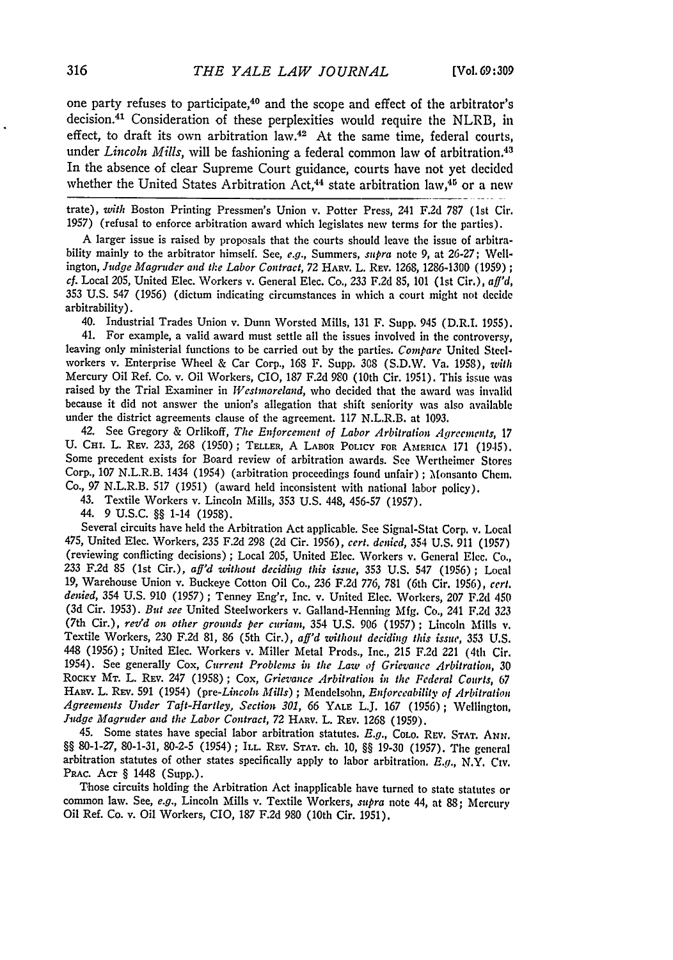one party refuses to participate,<sup>40</sup> and the scope and effect of the arbitrator's decision. 41 Consideration of these perplexities would require the NLRB, in effect, to draft its own arbitration law.42 At the same time, federal courts, under *Lincoln Mills*, will be fashioning a federal common law of arbitration.<sup>43</sup> In the absence of clear Supreme Court guidance, courts have not yet decided whether the United States Arbitration Act,<sup>44</sup> state arbitration law,<sup>46</sup> or a new

trate), *with* Boston Printing Pressmen's Union v. Potter Press, 241 F.2d 787 (lst Cir. 1957) (refusal to enforce arbitration award which legislates new terms for the parties).

A larger issue is raised by proposals that the courts should leave the issue of arbitrability mainly to the arbitrator himself. See, *e.g.,* Summers, *supra* note 9, at 26-27; Wellington, *Judge Magruder and the Labor Contract,* 72 HARV. L. REV. 1268, 1286-1300 (1959) **;** *cf.* Local 205, United Elec. Workers v. General Elec. Co., 233 F.2d **85,** 101 (1st Cir.), *aff'd,* 353 U.S. 547 (1956) (dictum indicating circumstances in which a court might not decide arbitrability).

40. Industrial Trades Union v. Dunn Worsted Mills, 131 F. Supp. 945 (D.R.I. 1955). 41. For example, a valid award must settle all the issues involved in the controversy,

leaving only ministerial functions to be carried out **by** the parties. *Compare* United Steelworkers v. Enterprise Wheel & Car Corp., 168 F. Supp. 308 (S.D.W. Va. 1958), *with* Mercury Oil Ref. Co. v. Oil Workers, CIO, 187 F.2d **980** (10th Cir. 1951). This issue was raised by the Trial Examiner in *Westmoreland,* who decided that the award was invalid because it did not answer the union's allegation that shift seniority was also available under the district agreements clause of the agreement. 117 N.L.R.B. at 1093.

42. See Gregory & Orlikoff, *The Enforcement of Labor Arbitration Agreenents, 17* U. **CHI.** L. REV. **233,** 268 (1950); TELLER, A **LA3OR** POLICY **FOr AMERICA** 171 (19-15). Some precedent exists for Board review of arbitration awards. See Wertheimer Stores Corp., 107 N.L.R.B. 1434 (1954) (arbitration proceedings found unfair) ; Monsanto Chem. Co., 97 N.L.R.B. **517** (1951) (award held inconsistent with national labor policy).

**43.** Textile Workers v. Lincoln Mills, **353** U.S. 448, 456-57 (1957).

44. 9 U.S.C. §§ 1-14 (1958).

Several circuits have held the Arbitration Act applicable. See Signal-Stat Corp. v. Local 475, United Elec. Workers, **235** F.2d 298 (2d Cir. 1956), *cert. denied,* 354 U.S. 911 (1957) (reviewing conflicting decisions) **;** Local 205, United Elec. Workers v. General Elec. Co., **233** F.2d 85 (1st Cir.), *aff'd without deciding this issue,* 353 U.S. 547 (1956) ; Local 19, Warehouse Union v. Buckeye Cotton Oil Co., **236** F.2d 776, 781 (6th Cir. 1956), *cert. denied,* 354 U.S. 910 (1957) ; Tenney Eng'r, Inc. v. United Elec. Workers, 207 F.2d 450 (3d Cir. 1953). *But see* United Steelworkers v. Galland-Henning Mfg. Co., 241 F.2d 323 (7th Cir.), *rev'd on other grounds per curiam,* 354 U.S. 906 (1957) **;** Lincoln Mills v. Textile Workers, 230 F.2d 81, 86 (5th Cir.), *aff'd without deciding this issue,* **353** U.S. 448 (1956) **;** United Elec. Workers v. Miller Metal Prods., Inc., 215 F.2d 221 (4th Cir. 1954). See generally Cox, *Current Problems in the Law of Grievance Arbitration,* 30 ROCKY **MT.** L. REV. 247 (1958); *Cox, Grievance Arbitration in the Federal Courts, 67* HARv. L. REy. 591 (1954) *(pre-Lincoln Mills)* ; Mendelsohn, *Enforceability of Arbitration Agreements Under Taft-Hartley, Section 301, 66* YALE L.J. 167 (1956); Wellington, *Jutdge Magruder and the Labor Contract,* 72 HARV. L. **REV.** 1268 (1959).

45. Some states have special labor arbitration statutes. *E.g.,* COLO. **REV. STAT.** *ANN.* §§ 80-1-27, 80-1-31, 80-2-5 (1954) ; ILL. **REV. STAT.** ch. 10, §§ 19-30 (1957). The general arbitration statutes of other states specifically apply to labor arbitration. *E.g.*, N.Y. Civ. PRAC. Acr § 1448 (Supp.).

Those circuits holding the Arbitration Act inapplicable have turned to state statutes or common law. See, *e.g.,* Lincoln Mills v. Textile Workers, *supra* note 44, at 88; Mercury Oil Ref. Co. v. Oil Workers, CIO, 187 F.2d 980 (10th Cir. 1951).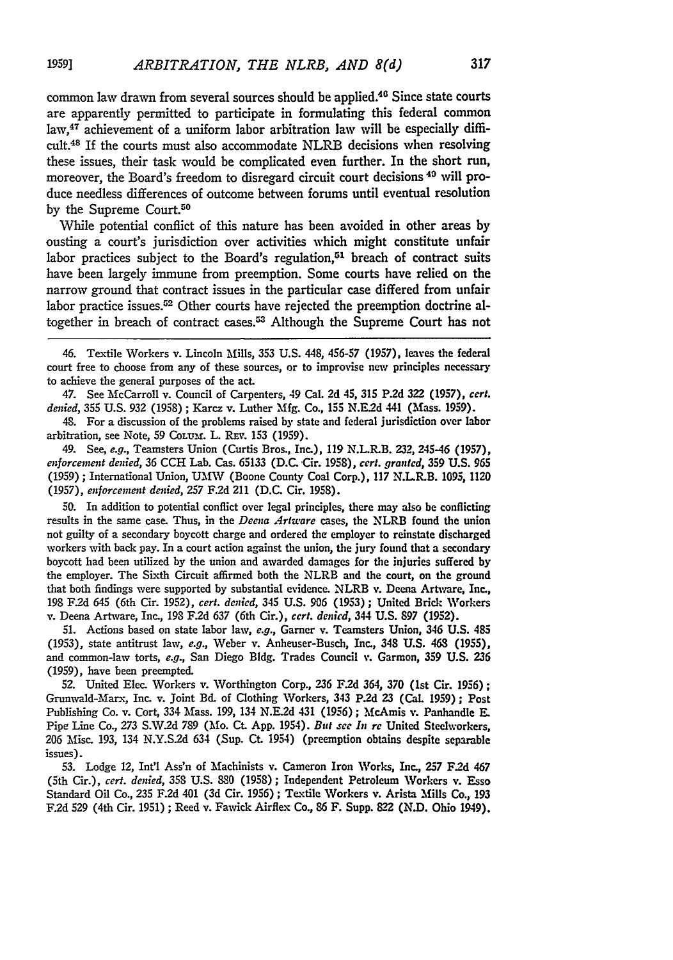common law drawn from several sources should be applied.<sup>46</sup> Since state courts are apparently permitted to participate in formulating this federal common law,<sup>47</sup> achievement of a uniform labor arbitration law will be especially difficult.48 If the courts must also accommodate NLRB decisions when resolving these issues, their task would be complicated even further. In the short run, moreover, the Board's freedom to disregard circuit court decisions 40 will produce needless differences of outcome betveen forums until eventual resolution by the Supreme Court.<sup>50</sup>

While potential conflict of this nature has been avoided in other areas by ousting a court's jurisdiction over activities which might constitute unfair labor practices subject to the Board's regulation, $51$  breach of contract suits have been largely immune from preemption. Some courts have relied on the narrow ground that contract issues in the particular case differed from unfair labor practice issues.<sup>52</sup> Other courts have rejected the preemption doctrine altogether in breach of contract cases.<sup>53</sup> Although the Supreme Court has not

47. See McCarroll v. Council of Carpenters, 49 Cal. **2d** 45, **315 P.2d 322 (1957), cert.** *denied,* 355 U.S. 932 (1958) ; Karcz v. Luther Mfg. Co., **155** N.E.2d 441 (Mass. **1959).**

48. For a discussion of the problems raised **by** state and federal jurisdiction over labor arbitration, see Note, 59 Colum. L. REV. 153 (1959).

49. See, *e.g.,* Teamsters Union (Curtis Bros., Inc.), **119** N.L.R.B. **232, 245-46 (1957),** *enforcement denied,* 36 **CCH** Lab. Cas. 65133 (D.C. Cir. **1958),** *cert. granted,* **359** U.S. **965** (1959) ; International Union, UMW (Boone County Coal Corp.), 117 N.L.R.B. 1095, 1120 **(1957),** *enforcement denied,* **257** F.2d 211 (D.C. Cir. **1958).**

**50.** In addition to potential conflict over legal principles, there may also be conflicting results in the same case. Thus, in the *Deena Artware* cases, the NLRB found the union not guilty of a secondary boycott charge and ordered the employer to reinstate discharged workers with back pay. In a court action against the union, the jury found that a secondary boycott had been utilized by the union and awarded damages for the injuries suffered **by** the employer. The Sixth Circuit affirmed both the NLRB and the court, on the ground that both findings were supported by substantial evidence. NLRB v. Deena Artware, Inc., **198** F.2d 645 (6th Cir. 1952), *cert. denied,* 345 U.S. **906** (1953) **;** United Brick Workers v. Deena Artware, Inc., **198** F.2d **637** (6th Cir.), *cert. denicd,* 344 U.S. **897 (1952).**

**51.** Actions based on state labor law, *e.g.,* Garner v. Teamsters Union, 346 U.S. 485 (1953), state antitrust law, *e.g.,* Weber v. Anheuser-Busch, Inc., 348 U.S. 463 **(1955),** and common-law torts, *e.g.,* San Diego **Bldg.** Trades Council v. Garmon, **359** U.S. **236** (1959), have been preempted.

52. United Elec. Workers v. Worthington Corp., 236 F.2d 364, **370** (1st Cir. **1956);** Grunwald-Mlarx, Inc. v. Joint Bd. of Clothing Workers, 343 P.2d 23 (Cal. **1959) ;** Post Publishing Co. v. Cort, 334 Mass. 199, 134 N.E.2d 431 (1956); McAmis v. Panhandle E. Pipe Line Co., **273** S.W.2d **789** (Mo. Ct. App. 1954). *But see It re* United Steelworkers, **206** M1isc. 193, 134 N.Y.S2d 634 (Sup. Ct. 1954) (preemption obtains despite separable issues).

**53.** Lodge 12, Int'l Ass'n of Machinists v. Cameron Iron Works, Inc., **257** F.2d 467 (5th Cir.), *cert. denied,* 358 U.S. **880** (1958); Independent Petroleum Workers v. Esso Standard Oil Co., 235 **F.2d** 401 (3d Cir. 1956); Textile Workers v. Arista Mills Co., 193 F.2d 529 (4th Cir. 1951) ; Reed v. Fawick Airflex Co., 86 F. Supp. 822 (N.D. Ohio 1949).

<sup>46.</sup> Textile Workers v. Lincoln Mills, 353 U.S. 448, 456-57 (1957), leaves the federal court free to choose from any of these sources, or to improvise new principles necessary to achieve the general purposes of the act.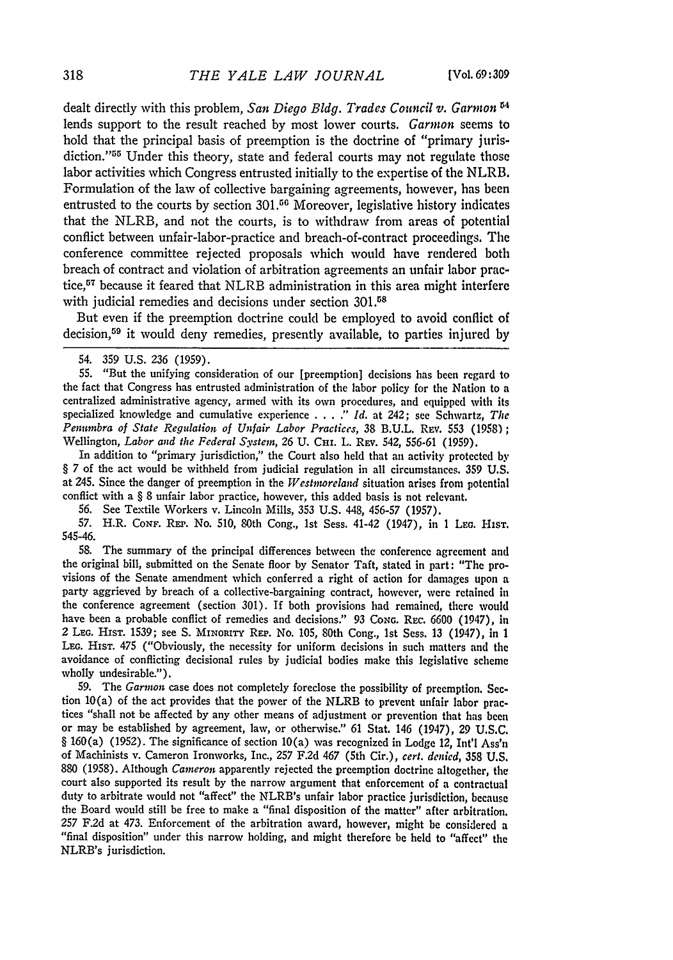dealt directly with this problem, *San Diego Bldg. Trades Council v.* Garmon **"4** lends support to the result reached by most lower courts. Garmon seems to hold that the principal basis of preemption is the doctrine of "primary jurisdiction."<sup>55</sup> Under this theory, state and federal courts may not regulate those labor activities which Congress entrusted initially to the expertise of the NLRB. Formulation of the law of collective bargaining agreements, however, has been entrusted to the courts by section  $301<sup>56</sup>$  Moreover, legislative history indicates that the NLRB, and not the courts, is to withdraw from areas of potential conflict between unfair-labor-practice and breach-of-contract proceedings. The conference committee rejected proposals which would have rendered both breach of contract and violation of arbitration agreements an unfair labor practice,57 because it feared that NLRB administration in this area might interfere with judicial remedies and decisions under section 301.<sup>58</sup>

But even if the preemption doctrine could be employed to avoid conflict of decision,<sup>59</sup> it would deny remedies, presently available, to parties injured by

55. "But the unifying consideration of our [preemption] decisions has been regard to the fact that Congress has entrusted administration of the labor policy for the Nation to a centralized administrative agency, armed with its own procedures, and equipped with its specialized knowledge and cumulative experience .... " *Id.* at 242; see Schwartz, *The Penumbra of State Regulation of Unfair Labor Practices,* 38 **B.U.L.** REv. 553 (1958); Wellington, *Labor and the Federal System*, 26 U. CHI. L. REv. 542, 556-61 (1959).

In addition to "primary jurisdiction," the Court also held that an activity protected by § 7 of the act would be withheld from judicial regulation in all circumstances. 359 U.S. at 245. Since the danger of preemption in the *Westnwreland* situation arises from potential conflict with a § 8 unfair labor practice, however, this added basis is not relevant.

**56.** See Textile Workers v. Lincoln Mills, 353 U.S. 448, 456-57 (1957).

57. H.R. **CoNF.** REP. No. 510, 80th Cong., 1st Sess. 41-42 (1947), in **I** LEG. HIST. 545-46.

58. The summary of the principal differences between the conference agreement and the original bill, submitted on the Senate floor by Senator Taft, stated in part: "The provisions of the Senate amendment which conferred a right of action for damages upon a party aggrieved by breach of a collective-bargaining contract, however, were retained in the conference agreement (section 301). If both provisions had remained, there would have been a probable conflict of remedies and decisions." 93 CoNG. **REC.** 6600 (1947), in 2 **LEG. HisT.** 1539; see S. **MINORITY** REP. No. 105, 80th Cong., 1st Sess. 13 (1947), in **I LEG.** HIsT. 475 ("Obviously, the necessity for uniform decisions in such matters and the avoidance of conflicting decisional rules by judicial bodies make this legislative scheme wholly undesirable.").

59. The *Garnwn* case does not completely foreclose the possibility of preemption. Section  $10(a)$  of the act provides that the power of the NLRB to prevent unfair labor practices "shall not be affected by any other means of adjustment or prevention that has been or may be established by agreement, law, or otherwise." 61 Stat. 146 (1947), 29 U.S.C. § 160(a) (1952). The significance of section 10(a) was recognized in Lodge 12, Int'l Ass'n of Machinists v. Cameron Ironworks, Inc., **257 F.2d** 467 (5th Cir.), *cert. denied,* 358 U.S. 880 (1958). Although *Cameron* apparently rejected the preemption doctrine altogether, the court also supported its result by the narrow argument that enforcement of a contractual duty to arbitrate would not "affect" the NLRB's unfair labor practice jurisdiction, because the Board would still be free to make a "final disposition of the matter" after arbitration. **257** F.2d at 473. Enforcement of the arbitration award, however, might be considered a "final disposition" under this narrow holding, and might therefore be held to "affect" the NLRB's jurisdiction.

<sup>54. 359</sup> U.S. 236 (1959).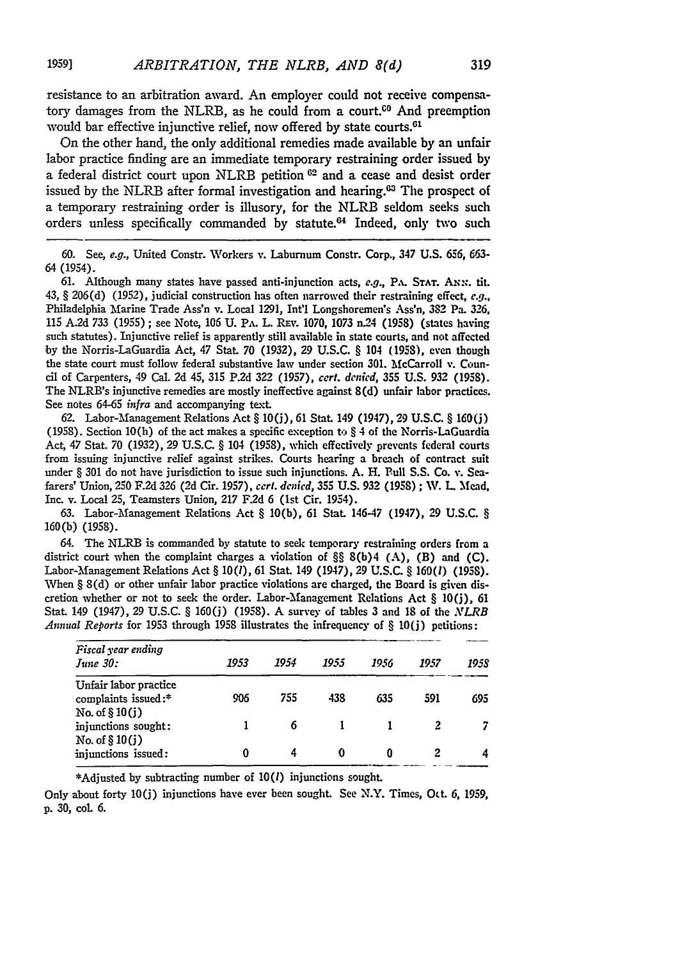resistance to an arbitration award. An employer could not receive compensatory damages from the NLRB, as he could from a court. $<sup>60</sup>$  And preemption</sup> would bar effective injunctive relief, now offered by state courts.<sup>61</sup>

On the other hand, the only additional remedies made available by an unfair labor practice finding are an immediate temporary restraining order issued **by** a federal district court upon NLRB petition **62** and a cease and desist order issued by the NLRB after formal investigation and hearing.<sup>03</sup> The prospect of a temporary restraining order is illusory, for the NLRB seldom seeks such orders unless specifically commanded by statute.<sup>64</sup> Indeed, only two such

**60.** See, *e.g.,* United Constr. Workers v. Laburnum Constr. Corp., 347 U.S. **656,** *663-* 64 (1954).

61. Although many states have passed anti-injunction acts, e.g., PA. STAT. ANN. tit. 43, § 206(d) (1952), judicial construction has often narrowed their restraining effect, *e.g.,* Philadelphia Marine Trade Ass'n v. Local 1291, Int'l Longshoremen's Ass'n, 382 Pa. 326, 115 A.2d **733** (1955) ; see Note, **106** U. PA. L. RF%. **1070,** 1073 *n.24* (1958) (states having such statutes). Injunctive relief is apparently still available in state courts, and not affected by the Norris-LaGuardia Act, 47 Stat. **70** (1932), 29 U.S.C. § 104 (1958), even though the state court must follow federal substantive law under section 301. McCarroll v. Coun**cil** of Carpenters, 49 Cal. 2d 45, 315 **P.2d** 322 (1957), *cert. denied,* 355 U.S. 932 (1958). The NLRB's injunctive remedies are mostly ineffective against 8(d) unfair labor practices. See notes 64-65 *infra* and accompanying text.

62. Labor-Management Relations Act § 10(j), 61 Stat. 149 (1947), 29 U.S.C. § 160(j) (1958). Section 10(h) of the act makes a specific exception to  $\S 4$  of the Norris-LaGuardia Act, 47 Stat. 70 (1932), 29 U.S.C. § 104 (1958), which effectively prevents federal courts from issuing injunctive relief against strikes. Courts hearing a breach of contract suit under § 301 do not have jurisdiction to issue such injunctions. A. H. Bull S.S. Co. v. Seafarers' Union, 250 F.2d 326 (2d Cir. 1957), *cert. denied,* **355** U.S. 932 (1958) ; W. L 'Mead, Inc. v. Local 25, Teamsters Union, 217 F.2d 6 (1st Cir. 1954).

**63.** Labor-fanagement Relations Act § 10(b), 61 Stat. 146-47 (1947), 29 U.S.C. § 160(b) (1958).

64. The NLRB is commanded by statute to seek temporary restraining orders from a district court when the complaint charges a violation of §§ 8(b)4 **(A),** (B) and (C). Labor-Management Relations Act § 10(1), 61 Stat. 149 (1947), 29 U.S.C. § 160(1) (1958). When § 8(d) or other unfair labor practice violations are charged, the Board is given discretion whether or not to seek the order. Labor-Management Relations Act  $\S$  10(j), 61 Stat. 149 (1947), 29 U.S.C. § 160(j) (1958). A survey of tables 3 and 18 of the *NLRB Annual Reports* for **1953** through **1958** illustrates the infrequency of § **10(j)** petitions:

| Fiscal year ending<br>June 30:                                   | 1953 | 1954 | 1955 | 1956 | 1957 | 195S |
|------------------------------------------------------------------|------|------|------|------|------|------|
| Unfair labor practice<br>complaints issued:*<br>No. of $§ 10(j)$ | 906  | 755  | 438  | 635  | 591  | 695  |
| injunctions sought:                                              |      |      |      |      |      |      |
| No. of $$10(j)$<br>injunctions issued:                           |      |      |      |      |      |      |

\*Adjusted **by** subtracting number of **10(1)** injunctions sought.

Only about forty **10(j)** injunctions have ever been sought. **See** N.Y. Times, **Oct. 6, 1959, p. 30, col 6.**